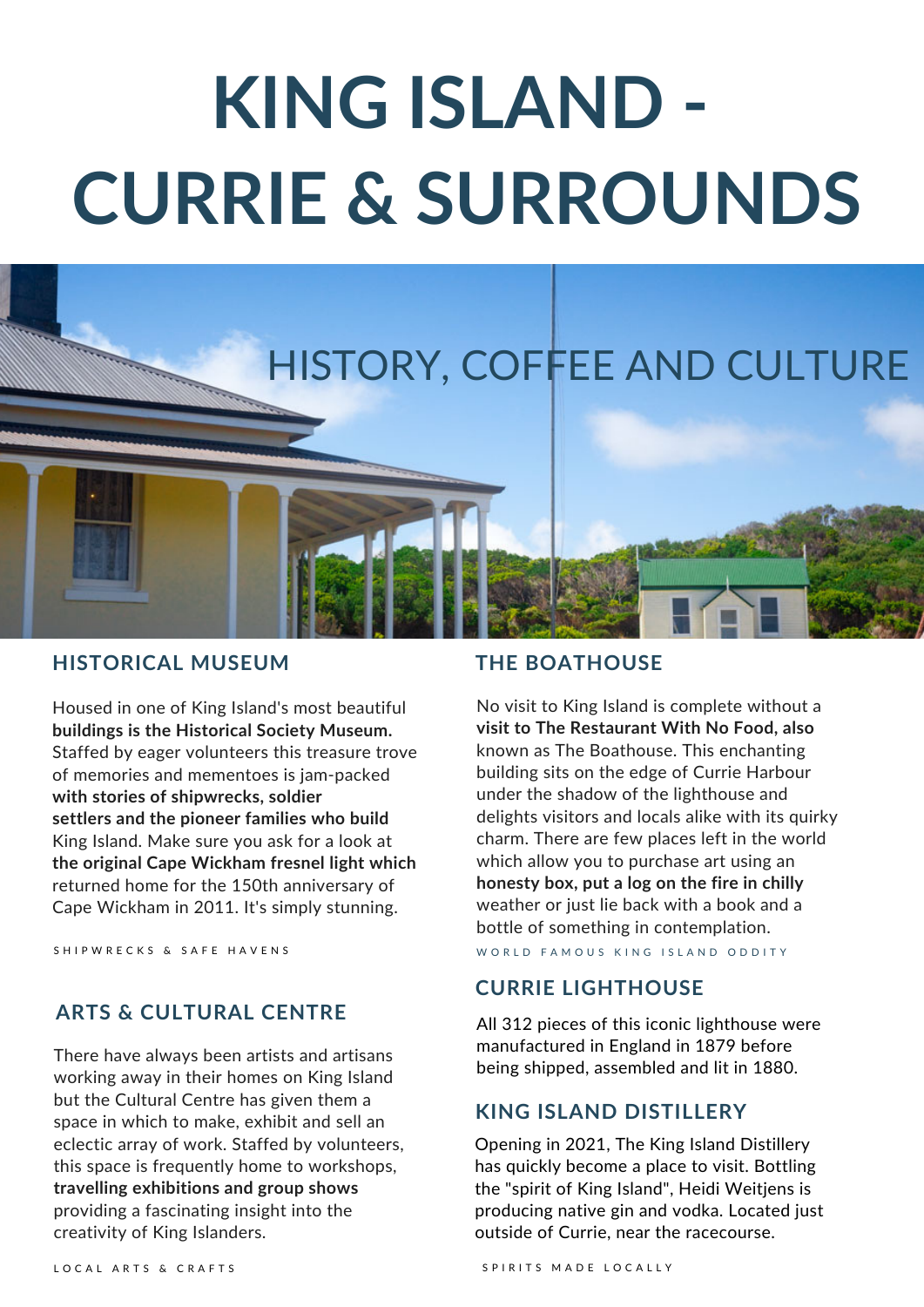# **KING ISLAND - CURRIE & SURROUNDS**



### **HISTORICAL MUSEUM**

Housed in one of King Island's most beautiful **buildings is the Historical Society Museum.** Staffed by eager volunteers this treasure trove of memories and mementoes is jam-packed **with stories of shipwrecks, soldier settlers and the pioneer families who build** King Island. Make sure you ask for a look at **the original Cape Wickham fresnel light which** returned home for the 150th anniversary of Cape Wickham in 2011. It's simply stunning.

#### **ARTS & CULTURAL CENTRE**

There have always been artists and artisans working away in their homes on King Island but the Cultural Centre has given them a space in which to make, exhibit and sell an eclectic array of work. Staffed by volunteers, this space is frequently home to workshops, **travelling exhibitions and group shows** providing a fascinating insight into the creativity of King Islanders.

### **THE BOATHOUSE**

No visit to King Island is complete without a **visit to The Restaurant With No Food, also** known as The Boathouse. This enchanting building sits on the edge of Currie Harbour under the shadow of the lighthouse and delights visitors and locals alike with its quirky charm. There are few places left in the world which allow you to purchase art using an **honesty box, put a log on the fire in chilly** weather or just lie back with a book and a bottle of something in contemplation.

S HIP WRECKS & SAFE HAVENS THE SERIES WORLD FAMOUS KING ISLAND ODDITY

#### **CURRIE LIGHTHOUSE**

All 312 pieces of this iconic lighthouse were manufactured in England in 1879 before being shipped, assembled and lit in 1880.

#### **KING ISLAND DISTILLERY**

Opening in 2021, The King Island Distillery has quickly become a place to visit. Bottling the "spirit of King Island", Heidi Weitjens is producing native gin and vodka. Located just outside of Currie, near the racecourse.